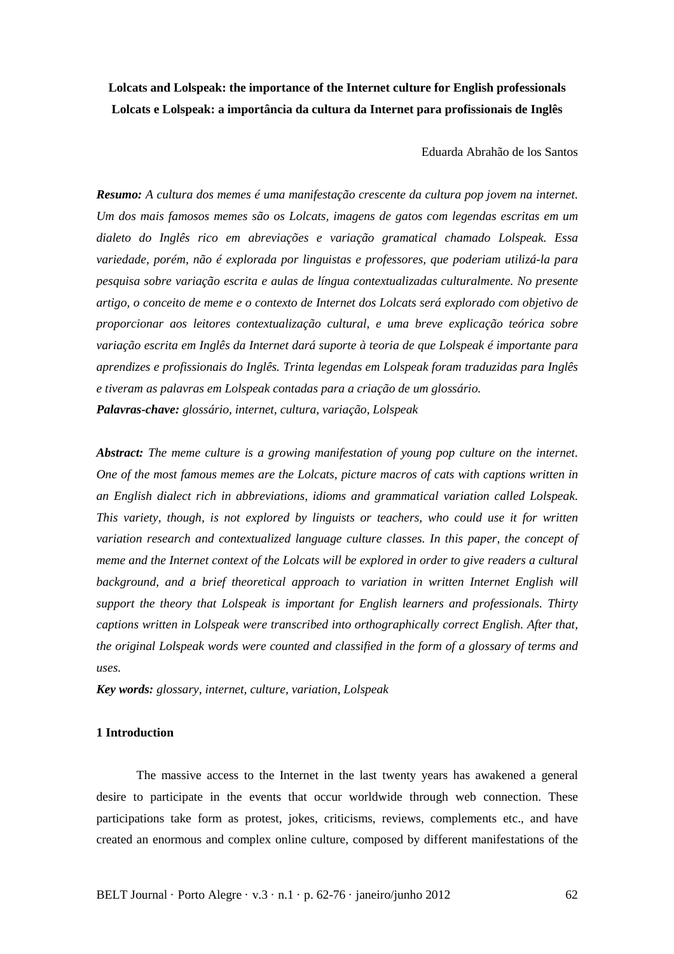# **Lolcats and Lolspeak: the importance of the Internet culture for English professionals Lolcats e Lolspeak: a importância da cultura da Internet para profissionais de Inglês**

Eduarda Abrahão de los Santos

*Resumo: A cultura dos memes é uma manifestação crescente da cultura pop jovem na internet. Um dos mais famosos memes são os Lolcats, imagens de gatos com legendas escritas em um dialeto do Inglês rico em abreviações e variação gramatical chamado Lolspeak. Essa variedade, porém, não é explorada por linguistas e professores, que poderiam utilizá-la para pesquisa sobre variação escrita e aulas de língua contextualizadas culturalmente. No presente artigo, o conceito de meme e o contexto de Internet dos Lolcats será explorado com objetivo de proporcionar aos leitores contextualização cultural, e uma breve explicação teórica sobre variação escrita em Inglês da Internet dará suporte à teoria de que Lolspeak é importante para aprendizes e profissionais do Inglês. Trinta legendas em Lolspeak foram traduzidas para Inglês e tiveram as palavras em Lolspeak contadas para a criação de um glossário. Palavras-chave: glossário, internet, cultura, variação, Lolspeak* 

*Abstract: The meme culture is a growing manifestation of young pop culture on the internet. One of the most famous memes are the Lolcats, picture macros of cats with captions written in an English dialect rich in abbreviations, idioms and grammatical variation called Lolspeak. This variety, though, is not explored by linguists or teachers, who could use it for written variation research and contextualized language culture classes. In this paper, the concept of meme and the Internet context of the Lolcats will be explored in order to give readers a cultural*  background, and a brief theoretical approach to variation in written Internet English will *support the theory that Lolspeak is important for English learners and professionals. Thirty captions written in Lolspeak were transcribed into orthographically correct English. After that, the original Lolspeak words were counted and classified in the form of a glossary of terms and uses.* 

*Key words: glossary, internet, culture, variation, Lolspeak* 

#### **1 Introduction**

The massive access to the Internet in the last twenty years has awakened a general desire to participate in the events that occur worldwide through web connection. These participations take form as protest, jokes, criticisms, reviews, complements etc., and have created an enormous and complex online culture, composed by different manifestations of the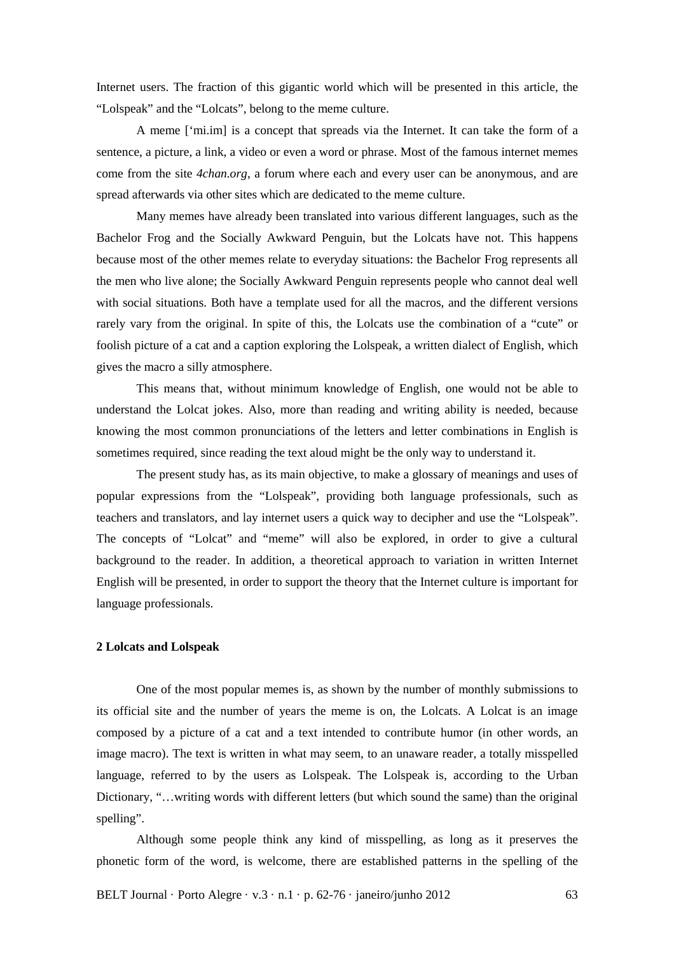Internet users. The fraction of this gigantic world which will be presented in this article, the "Lolspeak" and the "Lolcats", belong to the meme culture.

A meme ['mi.im] is a concept that spreads via the Internet. It can take the form of a sentence, a picture, a link, a video or even a word or phrase. Most of the famous internet memes come from the site *4chan.org*, a forum where each and every user can be anonymous, and are spread afterwards via other sites which are dedicated to the meme culture.

Many memes have already been translated into various different languages, such as the Bachelor Frog and the Socially Awkward Penguin, but the Lolcats have not. This happens because most of the other memes relate to everyday situations: the Bachelor Frog represents all the men who live alone; the Socially Awkward Penguin represents people who cannot deal well with social situations. Both have a template used for all the macros, and the different versions rarely vary from the original. In spite of this, the Lolcats use the combination of a "cute" or foolish picture of a cat and a caption exploring the Lolspeak, a written dialect of English, which gives the macro a silly atmosphere.

 This means that, without minimum knowledge of English, one would not be able to understand the Lolcat jokes. Also, more than reading and writing ability is needed, because knowing the most common pronunciations of the letters and letter combinations in English is sometimes required, since reading the text aloud might be the only way to understand it.

The present study has, as its main objective, to make a glossary of meanings and uses of popular expressions from the "Lolspeak", providing both language professionals, such as teachers and translators, and lay internet users a quick way to decipher and use the "Lolspeak". The concepts of "Lolcat" and "meme" will also be explored, in order to give a cultural background to the reader. In addition, a theoretical approach to variation in written Internet English will be presented, in order to support the theory that the Internet culture is important for language professionals.

#### **2 Lolcats and Lolspeak**

One of the most popular memes is, as shown by the number of monthly submissions to its official site and the number of years the meme is on, the Lolcats. A Lolcat is an image composed by a picture of a cat and a text intended to contribute humor (in other words, an image macro). The text is written in what may seem, to an unaware reader, a totally misspelled language, referred to by the users as Lolspeak. The Lolspeak is, according to the Urban Dictionary, "…writing words with different letters (but which sound the same) than the original spelling".

 Although some people think any kind of misspelling, as long as it preserves the phonetic form of the word, is welcome, there are established patterns in the spelling of the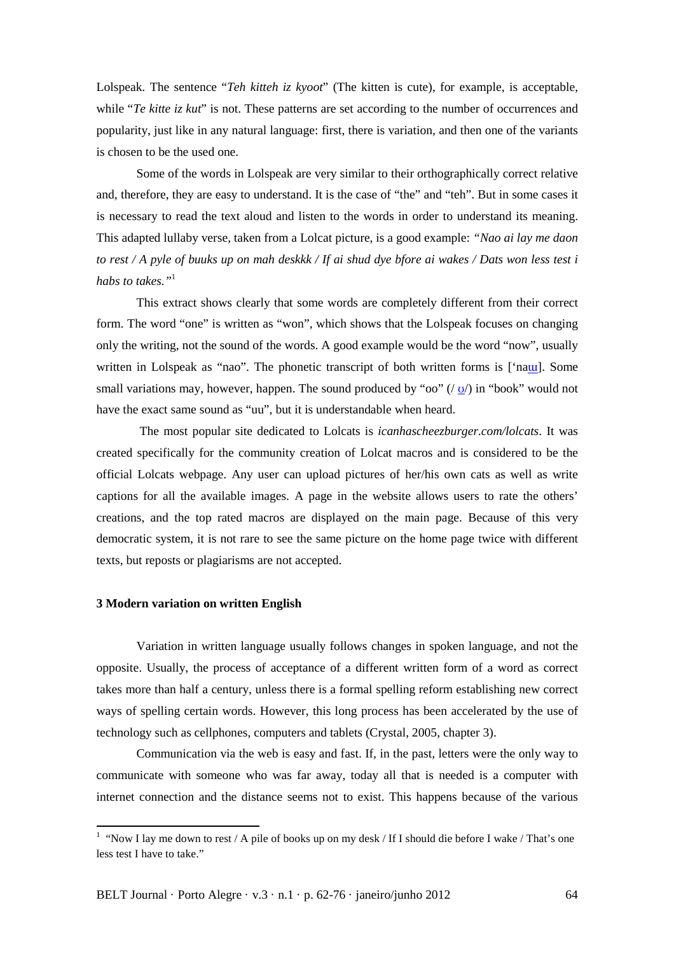Lolspeak. The sentence "*Teh kitteh iz kyoot*" (The kitten is cute), for example, is acceptable, while "*Te kitte iz kut*" is not. These patterns are set according to the number of occurrences and popularity, just like in any natural language: first, there is variation, and then one of the variants is chosen to be the used one.

 Some of the words in Lolspeak are very similar to their orthographically correct relative and, therefore, they are easy to understand. It is the case of "the" and "teh". But in some cases it is necessary to read the text aloud and listen to the words in order to understand its meaning. This adapted lullaby verse, taken from a Lolcat picture, is a good example: *"Nao ai lay me daon to rest / A pyle of buuks up on mah deskkk / If ai shud dye bfore ai wakes / Dats won less test i habs to takes."*<sup>1</sup>

 This extract shows clearly that some words are completely different from their correct form. The word "one" is written as "won", which shows that the Lolspeak focuses on changing only the writing, not the sound of the words. A good example would be the word "now", usually written in Lolspeak as "nao". The phonetic transcript of both written forms is ['naul. Some small variations may, however, happen. The sound produced by "oo"  $($  o' $)$  in "book" would not have the exact same sound as "uu", but it is understandable when heard.

 The most popular site dedicated to Lolcats is *icanhascheezburger.com/lolcats*. It was created specifically for the community creation of Lolcat macros and is considered to be the official Lolcats webpage. Any user can upload pictures of her/his own cats as well as write captions for all the available images. A page in the website allows users to rate the others' creations, and the top rated macros are displayed on the main page. Because of this very democratic system, it is not rare to see the same picture on the home page twice with different texts, but reposts or plagiarisms are not accepted.

#### **3 Modern variation on written English**

l

Variation in written language usually follows changes in spoken language, and not the opposite. Usually, the process of acceptance of a different written form of a word as correct takes more than half a century, unless there is a formal spelling reform establishing new correct ways of spelling certain words. However, this long process has been accelerated by the use of technology such as cellphones, computers and tablets (Crystal, 2005, chapter 3).

Communication via the web is easy and fast. If, in the past, letters were the only way to communicate with someone who was far away, today all that is needed is a computer with internet connection and the distance seems not to exist. This happens because of the various

<sup>&</sup>lt;sup>1</sup> "Now I lay me down to rest / A pile of books up on my desk / If I should die before I wake / That's one less test I have to take."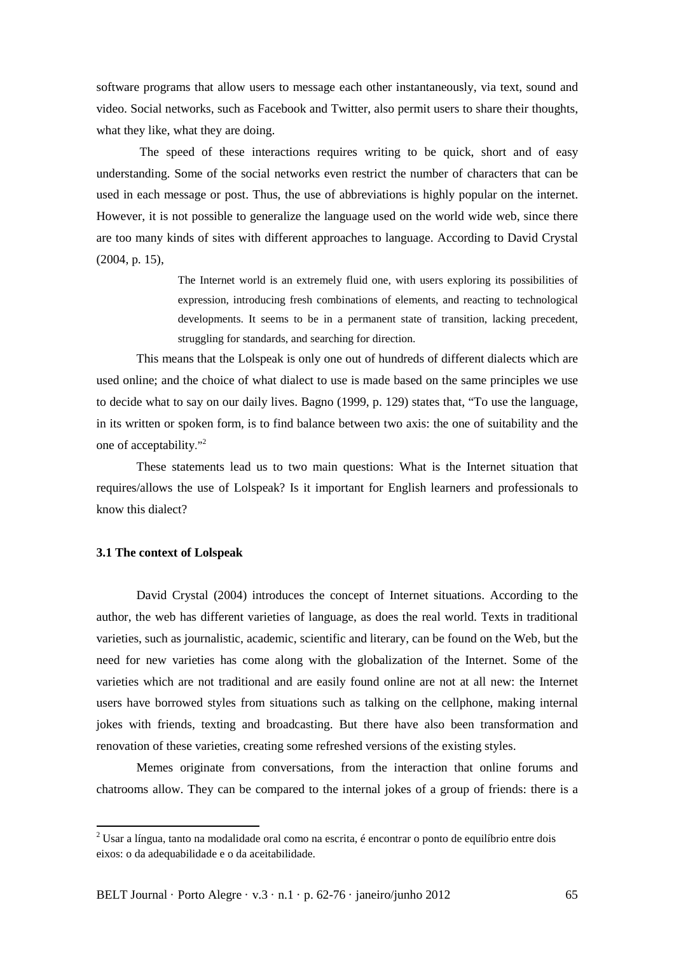software programs that allow users to message each other instantaneously, via text, sound and video. Social networks, such as Facebook and Twitter, also permit users to share their thoughts, what they like, what they are doing.

 The speed of these interactions requires writing to be quick, short and of easy understanding. Some of the social networks even restrict the number of characters that can be used in each message or post. Thus, the use of abbreviations is highly popular on the internet. However, it is not possible to generalize the language used on the world wide web, since there are too many kinds of sites with different approaches to language. According to David Crystal (2004, p. 15),

> The Internet world is an extremely fluid one, with users exploring its possibilities of expression, introducing fresh combinations of elements, and reacting to technological developments. It seems to be in a permanent state of transition, lacking precedent, struggling for standards, and searching for direction.

This means that the Lolspeak is only one out of hundreds of different dialects which are used online; and the choice of what dialect to use is made based on the same principles we use to decide what to say on our daily lives. Bagno (1999, p. 129) states that, "To use the language, in its written or spoken form, is to find balance between two axis: the one of suitability and the one of acceptability."<sup>2</sup>

These statements lead us to two main questions: What is the Internet situation that requires/allows the use of Lolspeak? Is it important for English learners and professionals to know this dialect?

### **3.1 The context of Lolspeak**

l

David Crystal (2004) introduces the concept of Internet situations. According to the author, the web has different varieties of language, as does the real world. Texts in traditional varieties, such as journalistic, academic, scientific and literary, can be found on the Web, but the need for new varieties has come along with the globalization of the Internet. Some of the varieties which are not traditional and are easily found online are not at all new: the Internet users have borrowed styles from situations such as talking on the cellphone, making internal jokes with friends, texting and broadcasting. But there have also been transformation and renovation of these varieties, creating some refreshed versions of the existing styles.

Memes originate from conversations, from the interaction that online forums and chatrooms allow. They can be compared to the internal jokes of a group of friends: there is a

 $2$  Usar a língua, tanto na modalidade oral como na escrita, é encontrar o ponto de equilíbrio entre dois eixos: o da adequabilidade e o da aceitabilidade.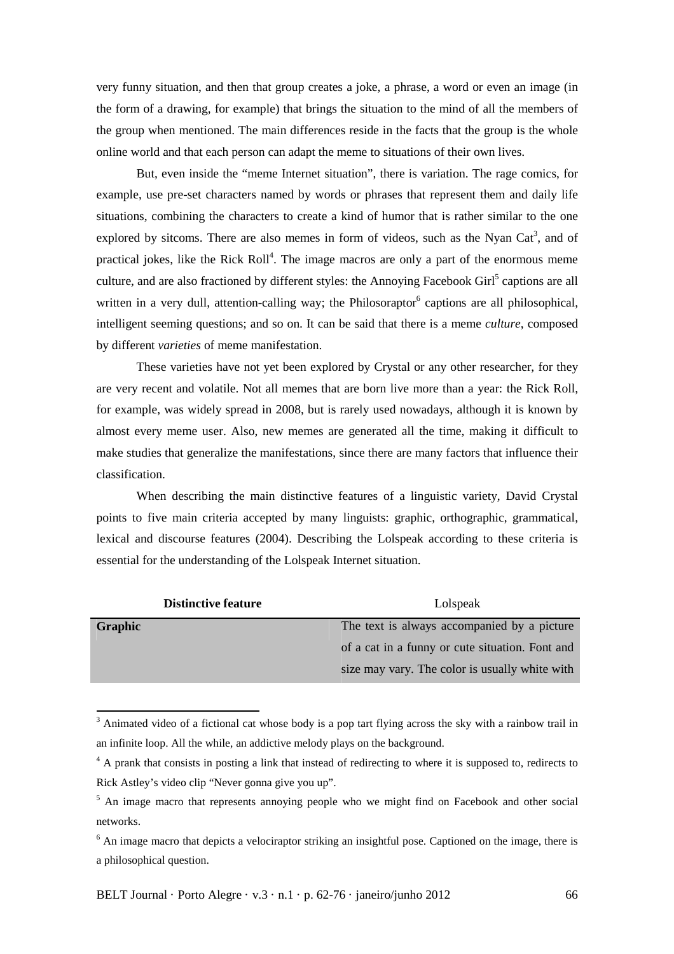very funny situation, and then that group creates a joke, a phrase, a word or even an image (in the form of a drawing, for example) that brings the situation to the mind of all the members of the group when mentioned. The main differences reside in the facts that the group is the whole online world and that each person can adapt the meme to situations of their own lives.

But, even inside the "meme Internet situation", there is variation. The rage comics, for example, use pre-set characters named by words or phrases that represent them and daily life situations, combining the characters to create a kind of humor that is rather similar to the one explored by sitcoms. There are also memes in form of videos, such as the Nyan Cat<sup>3</sup>, and of practical jokes, like the Rick Roll<sup>4</sup>. The image macros are only a part of the enormous meme culture, and are also fractioned by different styles: the Annoying Facebook Girl<sup>5</sup> captions are all written in a very dull, attention-calling way; the Philosoraptor<sup>6</sup> captions are all philosophical, intelligent seeming questions; and so on. It can be said that there is a meme *culture*, composed by different *varieties* of meme manifestation.

These varieties have not yet been explored by Crystal or any other researcher, for they are very recent and volatile. Not all memes that are born live more than a year: the Rick Roll, for example, was widely spread in 2008, but is rarely used nowadays, although it is known by almost every meme user. Also, new memes are generated all the time, making it difficult to make studies that generalize the manifestations, since there are many factors that influence their classification.

When describing the main distinctive features of a linguistic variety, David Crystal points to five main criteria accepted by many linguists: graphic, orthographic, grammatical, lexical and discourse features (2004). Describing the Lolspeak according to these criteria is essential for the understanding of the Lolspeak Internet situation.

| Lolspeak                                        |
|-------------------------------------------------|
| The text is always accompanied by a picture     |
| of a cat in a funny or cute situation. Font and |
| size may vary. The color is usually white with  |
|                                                 |

<sup>&</sup>lt;sup>3</sup> Animated video of a fictional cat whose body is a pop tart flying across the sky with a rainbow trail in an infinite loop. All the while, an addictive melody plays on the background.

 $\overline{a}$ 

<sup>&</sup>lt;sup>4</sup> A prank that consists in posting a link that instead of redirecting to where it is supposed to, redirects to Rick Astley's video clip "Never gonna give you up".

<sup>&</sup>lt;sup>5</sup> An image macro that represents annoying people who we might find on Facebook and other social networks.

<sup>&</sup>lt;sup>6</sup> An image macro that depicts a velociraptor striking an insightful pose. Captioned on the image, there is a philosophical question.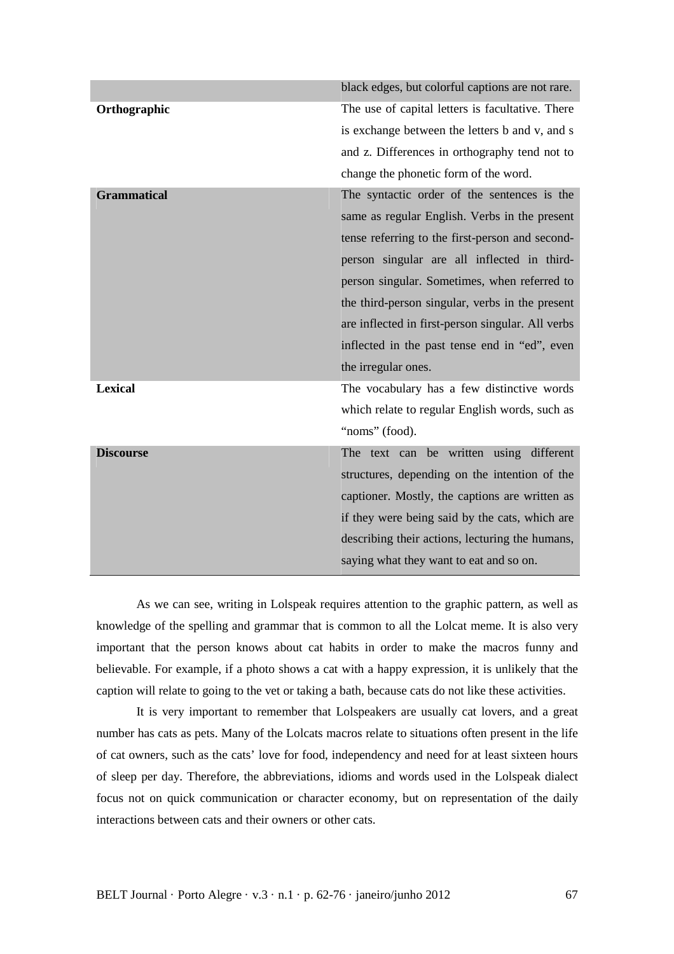| black edges, but colorful captions are not rare.  |
|---------------------------------------------------|
| The use of capital letters is facultative. There  |
| is exchange between the letters b and v, and s    |
| and z. Differences in orthography tend not to     |
| change the phonetic form of the word.             |
| The syntactic order of the sentences is the       |
| same as regular English. Verbs in the present     |
| tense referring to the first-person and second-   |
| person singular are all inflected in third-       |
| person singular. Sometimes, when referred to      |
| the third-person singular, verbs in the present   |
| are inflected in first-person singular. All verbs |
| inflected in the past tense end in "ed", even     |
| the irregular ones.                               |
| The vocabulary has a few distinctive words        |
| which relate to regular English words, such as    |
| "noms" (food).                                    |
| The text can be written using different           |
| structures, depending on the intention of the     |
| captioner. Mostly, the captions are written as    |
| if they were being said by the cats, which are    |
| describing their actions, lecturing the humans,   |
| saying what they want to eat and so on.           |
|                                                   |

As we can see, writing in Lolspeak requires attention to the graphic pattern, as well as knowledge of the spelling and grammar that is common to all the Lolcat meme. It is also very important that the person knows about cat habits in order to make the macros funny and believable. For example, if a photo shows a cat with a happy expression, it is unlikely that the caption will relate to going to the vet or taking a bath, because cats do not like these activities.

It is very important to remember that Lolspeakers are usually cat lovers, and a great number has cats as pets. Many of the Lolcats macros relate to situations often present in the life of cat owners, such as the cats' love for food, independency and need for at least sixteen hours of sleep per day. Therefore, the abbreviations, idioms and words used in the Lolspeak dialect focus not on quick communication or character economy, but on representation of the daily interactions between cats and their owners or other cats.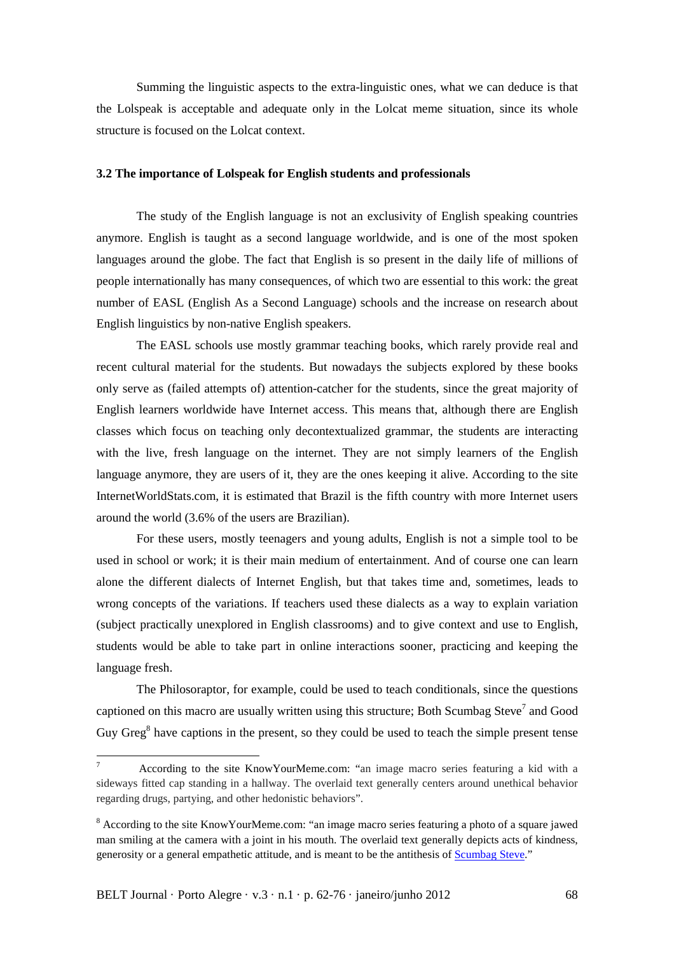Summing the linguistic aspects to the extra-linguistic ones, what we can deduce is that the Lolspeak is acceptable and adequate only in the Lolcat meme situation, since its whole structure is focused on the Lolcat context.

## **3.2 The importance of Lolspeak for English students and professionals**

The study of the English language is not an exclusivity of English speaking countries anymore. English is taught as a second language worldwide, and is one of the most spoken languages around the globe. The fact that English is so present in the daily life of millions of people internationally has many consequences, of which two are essential to this work: the great number of EASL (English As a Second Language) schools and the increase on research about English linguistics by non-native English speakers.

 The EASL schools use mostly grammar teaching books, which rarely provide real and recent cultural material for the students. But nowadays the subjects explored by these books only serve as (failed attempts of) attention-catcher for the students, since the great majority of English learners worldwide have Internet access. This means that, although there are English classes which focus on teaching only decontextualized grammar, the students are interacting with the live, fresh language on the internet. They are not simply learners of the English language anymore, they are users of it, they are the ones keeping it alive. According to the site InternetWorldStats.com, it is estimated that Brazil is the fifth country with more Internet users around the world (3.6% of the users are Brazilian).

 For these users, mostly teenagers and young adults, English is not a simple tool to be used in school or work; it is their main medium of entertainment. And of course one can learn alone the different dialects of Internet English, but that takes time and, sometimes, leads to wrong concepts of the variations. If teachers used these dialects as a way to explain variation (subject practically unexplored in English classrooms) and to give context and use to English, students would be able to take part in online interactions sooner, practicing and keeping the language fresh.

 The Philosoraptor, for example, could be used to teach conditionals, since the questions captioned on this macro are usually written using this structure; Both Scumbag Steve<sup>7</sup> and Good Guy Greg<sup>8</sup> have captions in the present, so they could be used to teach the simple present tense

 $\overline{a}$ 

<sup>7</sup> According to the site KnowYourMeme.com: "an image macro series featuring a kid with a sideways fitted cap standing in a hallway. The overlaid text generally centers around unethical behavior regarding drugs, partying, and other hedonistic behaviors".

<sup>&</sup>lt;sup>8</sup> According to the site KnowYourMeme.com: "an image macro series featuring a photo of a square jawed man smiling at the camera with a joint in his mouth. The overlaid text generally depicts acts of kindness, generosity or a general empathetic attitude, and is meant to be the antithesis of Scumbag Steve."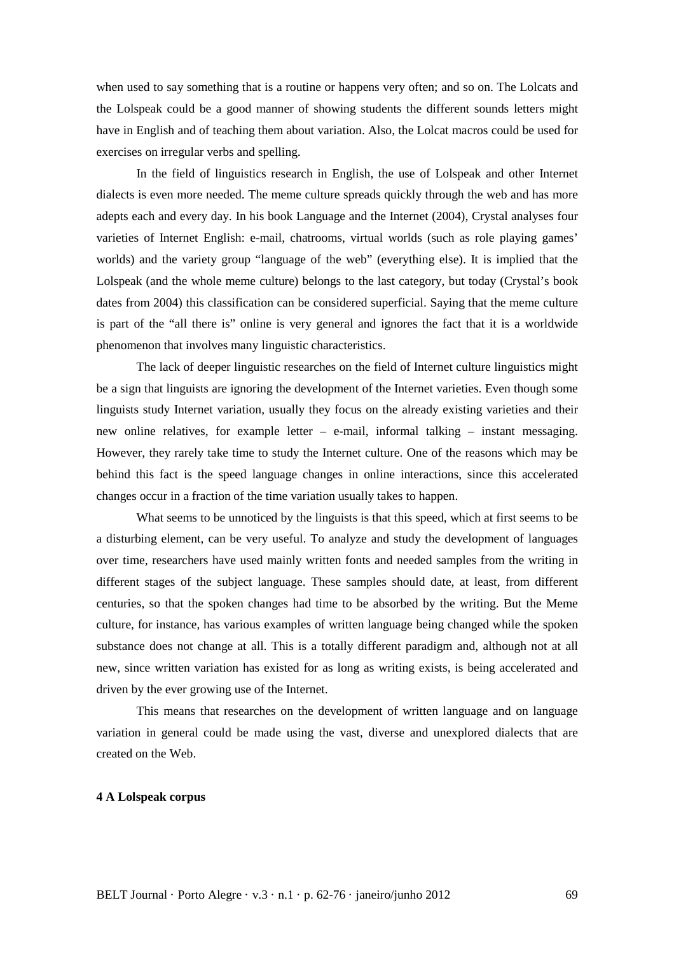when used to say something that is a routine or happens very often; and so on. The Lolcats and the Lolspeak could be a good manner of showing students the different sounds letters might have in English and of teaching them about variation. Also, the Lolcat macros could be used for exercises on irregular verbs and spelling.

 In the field of linguistics research in English, the use of Lolspeak and other Internet dialects is even more needed. The meme culture spreads quickly through the web and has more adepts each and every day. In his book Language and the Internet (2004), Crystal analyses four varieties of Internet English: e-mail, chatrooms, virtual worlds (such as role playing games' worlds) and the variety group "language of the web" (everything else). It is implied that the Lolspeak (and the whole meme culture) belongs to the last category, but today (Crystal's book dates from 2004) this classification can be considered superficial. Saying that the meme culture is part of the "all there is" online is very general and ignores the fact that it is a worldwide phenomenon that involves many linguistic characteristics.

 The lack of deeper linguistic researches on the field of Internet culture linguistics might be a sign that linguists are ignoring the development of the Internet varieties. Even though some linguists study Internet variation, usually they focus on the already existing varieties and their new online relatives, for example letter – e-mail, informal talking – instant messaging. However, they rarely take time to study the Internet culture. One of the reasons which may be behind this fact is the speed language changes in online interactions, since this accelerated changes occur in a fraction of the time variation usually takes to happen.

 What seems to be unnoticed by the linguists is that this speed, which at first seems to be a disturbing element, can be very useful. To analyze and study the development of languages over time, researchers have used mainly written fonts and needed samples from the writing in different stages of the subject language. These samples should date, at least, from different centuries, so that the spoken changes had time to be absorbed by the writing. But the Meme culture, for instance, has various examples of written language being changed while the spoken substance does not change at all. This is a totally different paradigm and, although not at all new, since written variation has existed for as long as writing exists, is being accelerated and driven by the ever growing use of the Internet.

 This means that researches on the development of written language and on language variation in general could be made using the vast, diverse and unexplored dialects that are created on the Web.

#### **4 A Lolspeak corpus**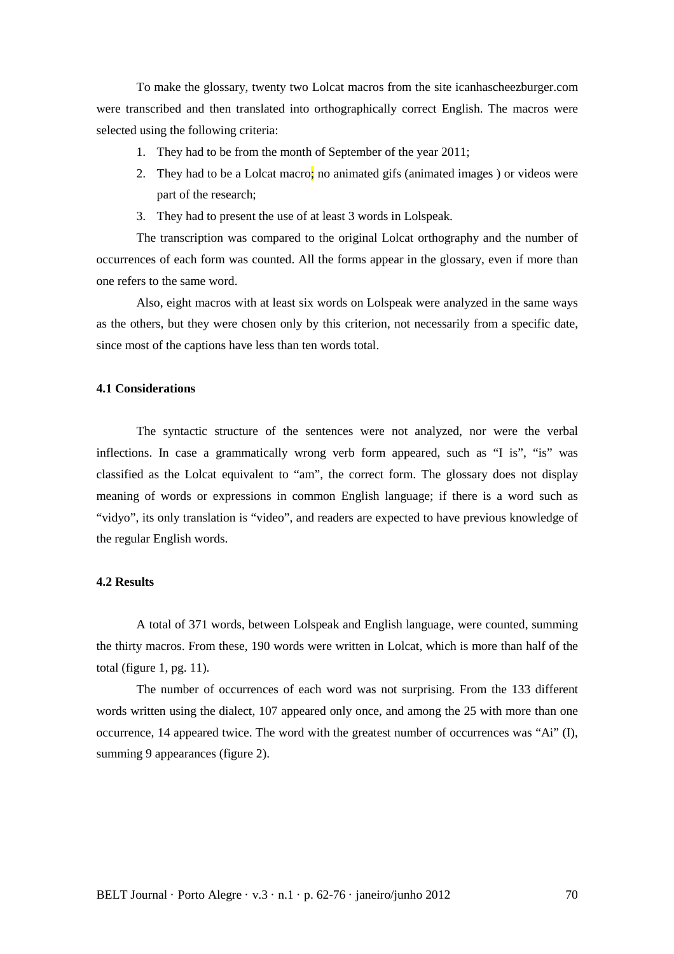To make the glossary, twenty two Lolcat macros from the site icanhascheezburger.com were transcribed and then translated into orthographically correct English. The macros were selected using the following criteria:

- 1. They had to be from the month of September of the year 2011;
- 2. They had to be a Lolcat macro; no animated gifs (animated images) or videos were part of the research;
- 3. They had to present the use of at least 3 words in Lolspeak.

The transcription was compared to the original Lolcat orthography and the number of occurrences of each form was counted. All the forms appear in the glossary, even if more than one refers to the same word.

Also, eight macros with at least six words on Lolspeak were analyzed in the same ways as the others, but they were chosen only by this criterion, not necessarily from a specific date, since most of the captions have less than ten words total.

#### **4.1 Considerations**

The syntactic structure of the sentences were not analyzed, nor were the verbal inflections. In case a grammatically wrong verb form appeared, such as "I is", "is" was classified as the Lolcat equivalent to "am", the correct form. The glossary does not display meaning of words or expressions in common English language; if there is a word such as "vidyo", its only translation is "video", and readers are expected to have previous knowledge of the regular English words.

#### **4.2 Results**

A total of 371 words, between Lolspeak and English language, were counted, summing the thirty macros. From these, 190 words were written in Lolcat, which is more than half of the total (figure  $1$ , pg.  $11$ ).

 The number of occurrences of each word was not surprising. From the 133 different words written using the dialect, 107 appeared only once, and among the 25 with more than one occurrence, 14 appeared twice. The word with the greatest number of occurrences was "Ai" (I), summing 9 appearances (figure 2).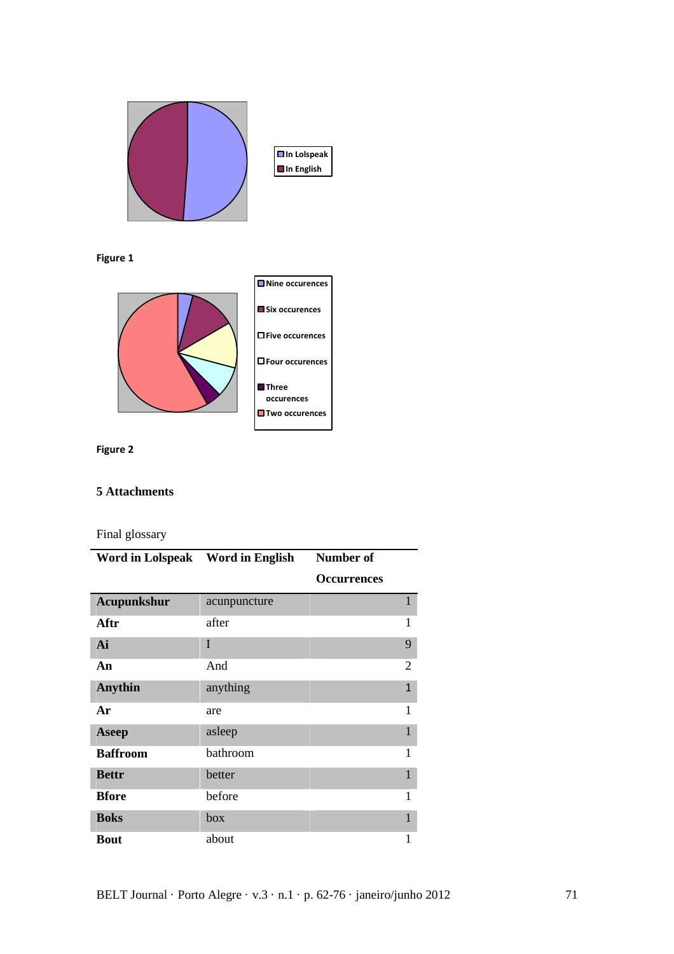

**Figure 1** 



**Figure 2**

## **5 Attachments**

Final glossary

| Word in Lolspeak Word in English |              | Number of          |                |
|----------------------------------|--------------|--------------------|----------------|
|                                  |              | <b>Occurrences</b> |                |
| Acupunkshur                      | acunpuncture |                    | 1              |
| Aftr                             | after        |                    | 1              |
| Ai                               | T            |                    | 9              |
| An                               | And          |                    | $\overline{2}$ |
| <b>Anythin</b>                   | anything     |                    | $\mathbf{1}$   |
| Ar                               | are          |                    | 1              |
| <b>Aseep</b>                     | asleep       |                    | 1              |
| <b>Baffroom</b>                  | bathroom     |                    | 1              |
| <b>Bettr</b>                     | better       |                    | 1              |
| <b>Bfore</b>                     | before       |                    | 1              |
| <b>Boks</b>                      | box          |                    | 1              |
| <b>Bout</b>                      | about        |                    | 1              |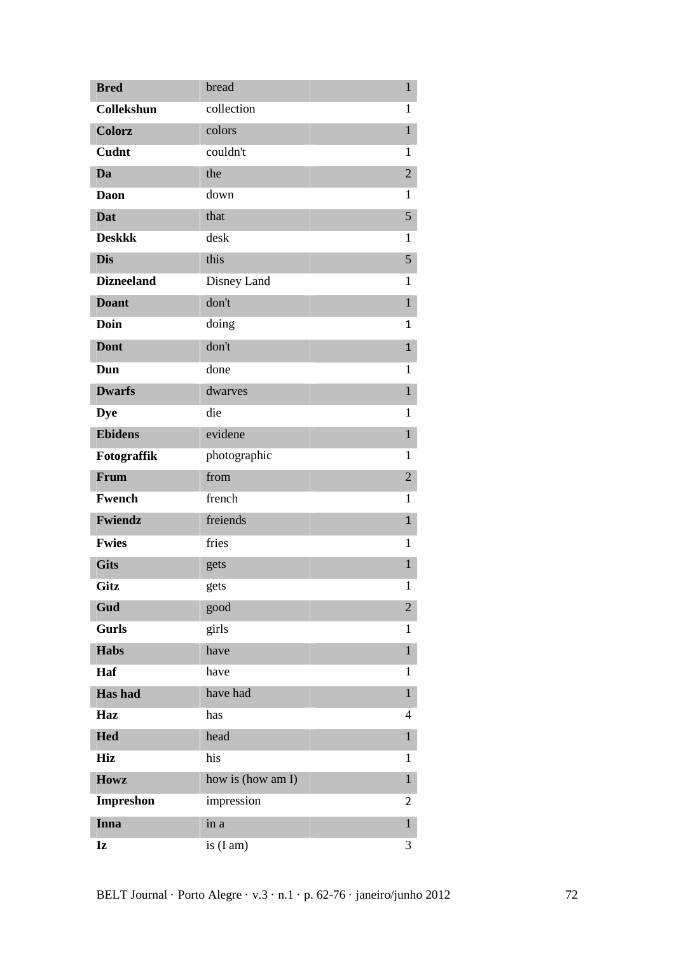| <b>Bred</b>       | bread             | $\mathbf{1}$   |
|-------------------|-------------------|----------------|
| Collekshun        | collection        | $\mathbf{1}$   |
| <b>Colorz</b>     | colors            | $\mathbf{1}$   |
| Cudnt             | couldn't          | 1              |
| Da                | the               | $\overline{2}$ |
| Daon              | down              | 1              |
| <b>Dat</b>        | that              | 5              |
| <b>Deskkk</b>     | desk              | 1              |
| <b>Dis</b>        | this              | 5              |
| <b>Dizneeland</b> | Disney Land       | 1              |
| <b>Doant</b>      | don't             | $\mathbf{1}$   |
| <b>Doin</b>       | doing             | 1              |
| <b>Dont</b>       | don't             | $\mathbf{1}$   |
| Dun               | done              | 1              |
| <b>Dwarfs</b>     | dwarves           | $\mathbf{1}$   |
| <b>Dye</b>        | die               | 1              |
| <b>Ebidens</b>    | evidene           | $\mathbf{1}$   |
| Fotograffik       | photographic      | 1              |
| Frum              | from              | $\overline{2}$ |
| Fwench            | french            | 1              |
| Fwiendz           | freiends          | $\mathbf{1}$   |
| <b>Fwies</b>      | fries             | $\mathbf{1}$   |
| <b>Gits</b>       | gets              | $\mathbf{1}$   |
| Gitz              | gets              | $\mathbf{1}$   |
| Gud               | good              | $\overline{2}$ |
| <b>Gurls</b>      | girls             | 1              |
| <b>Habs</b>       | have              | $\mathbf{1}$   |
| Haf               | have              | 1              |
| Has had           | have had          | $\mathbf{1}$   |
| Haz               | has               | 4              |
| <b>Hed</b>        | head              | $\mathbf{1}$   |
| <b>Hiz</b>        | his               | 1              |
| <b>Howz</b>       | how is (how am I) | $\mathbf{1}$   |
| <b>Impreshon</b>  | impression        | 2              |
| Inna              | in a              | $\mathbf{1}$   |
| Iz                | is $(Iam)$        | 3              |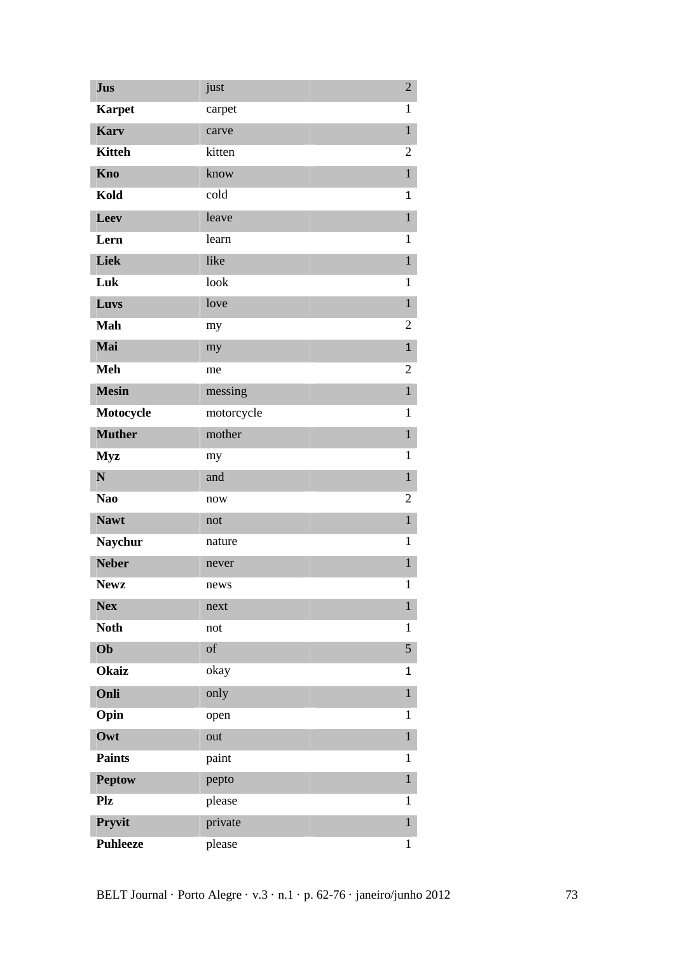| <b>Jus</b>      | just       | $\overline{2}$ |
|-----------------|------------|----------------|
| <b>Karpet</b>   | carpet     | $\mathbf{1}$   |
| <b>Karv</b>     | carve      | $\mathbf{1}$   |
| <b>Kitteh</b>   | kitten     | 2              |
| Kno             | know       | $\mathbf{1}$   |
| Kold            | cold       | $\mathbf{1}$   |
| Leev            | leave      | $\mathbf{1}$   |
| Lern            | learn      | 1              |
| Liek            | like       | $\mathbf{1}$   |
| Luk             | look       | 1              |
| Luvs            | love       | $\mathbf{1}$   |
| Mah             | my         | $\overline{2}$ |
| Mai             | my         | $\mathbf{1}$   |
| <b>Meh</b>      | me         | $\overline{2}$ |
| <b>Mesin</b>    | messing    | $\mathbf{1}$   |
| Motocycle       | motorcycle | $\mathbf{1}$   |
| <b>Muther</b>   | mother     | $\,1$          |
| <b>Myz</b>      | my         | $\mathbf{1}$   |
| N               | and        | $\mathbf{1}$   |
| Nao             | now        | 2              |
| <b>Nawt</b>     | not        | $\mathbf{1}$   |
| <b>Naychur</b>  | nature     | $\mathbf{1}$   |
| <b>Neber</b>    | never      | $\mathbf{1}$   |
| <b>Newz</b>     | news       | $\mathbf{1}$   |
| <b>Nex</b>      | next       | $\mathbf{1}$   |
| <b>Noth</b>     | not        | $\mathbf{1}$   |
| Ob              | of         | 5              |
| <b>Okaiz</b>    | okay       | 1              |
| Onli            | only       | $\mathbf{1}$   |
| Opin            | open       | $\mathbf{1}$   |
| Owt             | out        | $\,1$          |
| <b>Paints</b>   | paint      | 1              |
| <b>Peptow</b>   | pepto      | $\mathbf 1$    |
| Plz             | please     | $\mathbf{1}$   |
| Pryvit          | private    | $\mathbf{1}$   |
| <b>Puhleeze</b> | please     | $\mathbf{1}$   |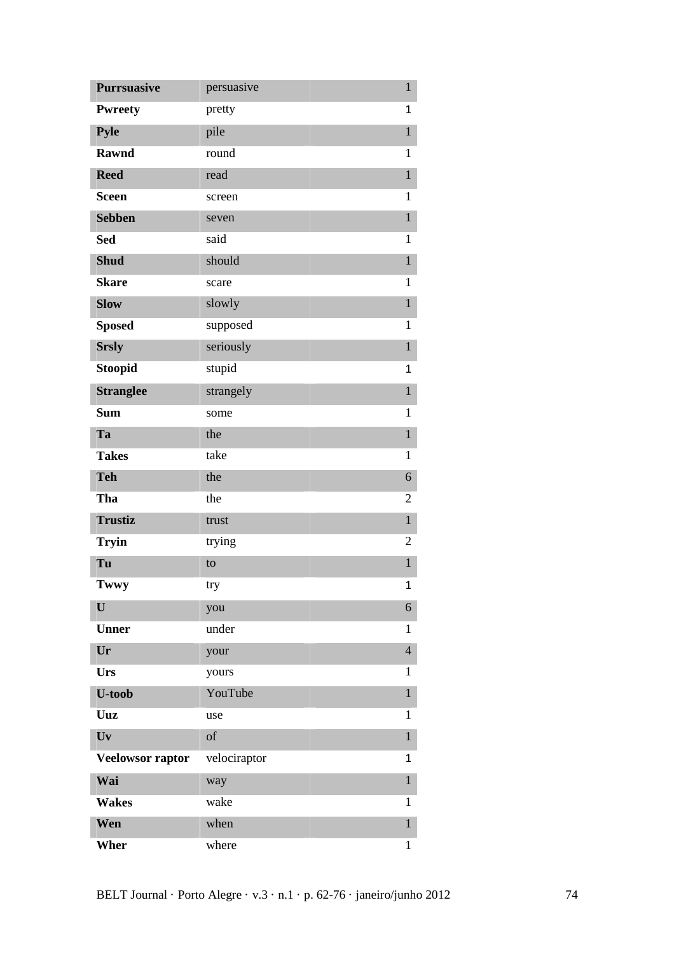| <b>Purrsuasive</b> | persuasive   | $\,1$          |
|--------------------|--------------|----------------|
| <b>Pwreety</b>     | pretty       | $\mathbf{1}$   |
| <b>Pyle</b>        | pile         | $\mathbf{1}$   |
| <b>Rawnd</b>       | round        | 1              |
| <b>Reed</b>        | read         | $\mathbf 1$    |
| <b>Sceen</b>       | screen       | $\mathbf{1}$   |
| <b>Sebben</b>      | seven        | $\mathbf{1}$   |
| <b>Sed</b>         | said         | $\mathbf{1}$   |
| <b>Shud</b>        | should       | $\mathbf{1}$   |
| <b>Skare</b>       | scare        | $\mathbf{1}$   |
| <b>Slow</b>        | slowly       | $\,1$          |
| <b>Sposed</b>      | supposed     | $\mathbf{1}$   |
| <b>Srsly</b>       | seriously    | $\mathbf{1}$   |
| <b>Stoopid</b>     | stupid       | 1              |
| <b>Stranglee</b>   | strangely    | $\mathbf{1}$   |
| <b>Sum</b>         | some         | $\mathbf{1}$   |
| Ta                 | the          | $\mathbf{1}$   |
| <b>Takes</b>       | take         | $\mathbf{1}$   |
| <b>Teh</b>         | the          | 6              |
| Tha                | the          | 2              |
| <b>Trustiz</b>     | trust        | $\mathbf{1}$   |
| <b>Tryin</b>       | trying       | $\overline{2}$ |
| Tu                 | to           | $\,1$          |
| Twwy               | try          | 1              |
| U                  | you          | 6              |
| <b>Unner</b>       | under        | 1              |
| Ur                 | your         | $\overline{4}$ |
| Urs                | yours        | $\mathbf{1}$   |
| <b>U-toob</b>      | YouTube      | $\mathbf{1}$   |
| Uuz                | use          | 1              |
| Uv                 | of           | $\,1$          |
| Veelowsor raptor   | velociraptor | 1              |
| Wai                | way          | $\mathbf{1}$   |
| <b>Wakes</b>       | wake         | 1              |
| Wen                | when         | $\mathbf{1}$   |
| Wher               | where        | $\mathbf{1}$   |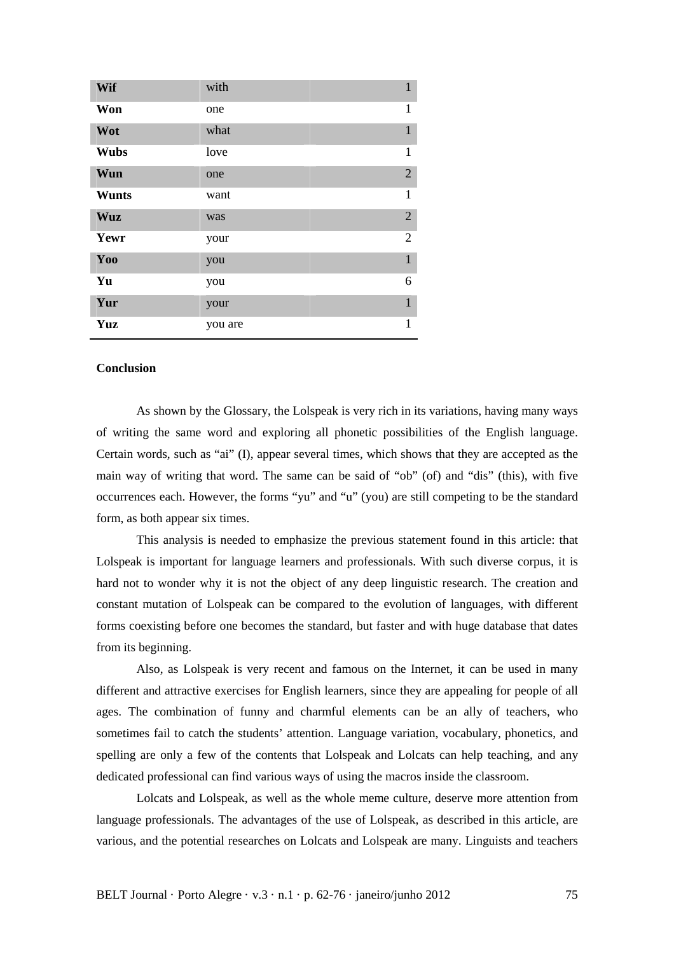| Wif          | with    |              | $\mathbf{1}$   |
|--------------|---------|--------------|----------------|
| Won          | one     |              | $\mathbf{1}$   |
| Wot          | what    | $\mathbf{1}$ |                |
| <b>Wubs</b>  | love    |              | $\mathbf{1}$   |
| Wun          | one     |              | $\overline{2}$ |
| <b>Wunts</b> | want    |              | $\mathbf{1}$   |
| <b>Wuz</b>   | was     |              | $\overline{2}$ |
| Yewr         | your    |              | $\overline{2}$ |
| Yoo          | you     |              | $\mathbf{1}$   |
| Yu           | you     |              | 6              |
| Yur          | your    |              | $\mathbf{1}$   |
| Yuz          | you are | $\mathbf{1}$ |                |

## **Conclusion**

 As shown by the Glossary, the Lolspeak is very rich in its variations, having many ways of writing the same word and exploring all phonetic possibilities of the English language. Certain words, such as "ai" (I), appear several times, which shows that they are accepted as the main way of writing that word. The same can be said of "ob" (of) and "dis" (this), with five occurrences each. However, the forms "yu" and "u" (you) are still competing to be the standard form, as both appear six times.

 This analysis is needed to emphasize the previous statement found in this article: that Lolspeak is important for language learners and professionals. With such diverse corpus, it is hard not to wonder why it is not the object of any deep linguistic research. The creation and constant mutation of Lolspeak can be compared to the evolution of languages, with different forms coexisting before one becomes the standard, but faster and with huge database that dates from its beginning.

 Also, as Lolspeak is very recent and famous on the Internet, it can be used in many different and attractive exercises for English learners, since they are appealing for people of all ages. The combination of funny and charmful elements can be an ally of teachers, who sometimes fail to catch the students' attention. Language variation, vocabulary, phonetics, and spelling are only a few of the contents that Lolspeak and Lolcats can help teaching, and any dedicated professional can find various ways of using the macros inside the classroom.

 Lolcats and Lolspeak, as well as the whole meme culture, deserve more attention from language professionals. The advantages of the use of Lolspeak, as described in this article, are various, and the potential researches on Lolcats and Lolspeak are many. Linguists and teachers